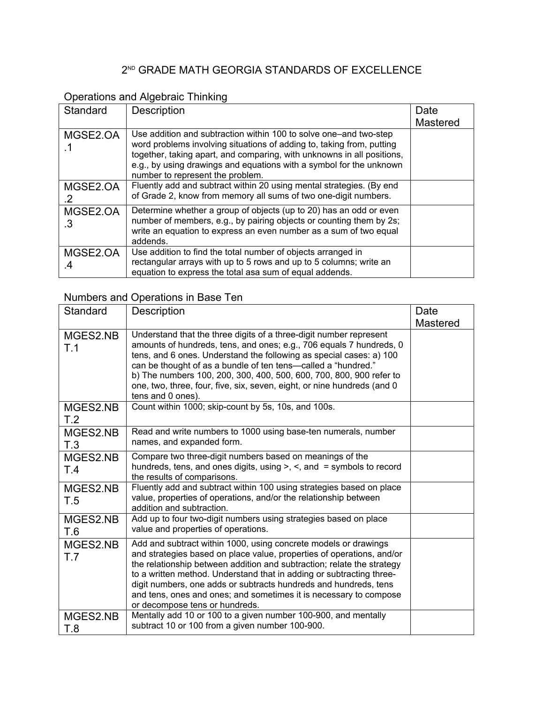#### 2 ND GRADE MATH GEORGIA STANDARDS OF EXCELLENCE

## Operations and Algebraic Thinking

| Standard       | <b>Description</b>                                                                                                                                                                                                                                                                                                              | Date<br>Mastered |
|----------------|---------------------------------------------------------------------------------------------------------------------------------------------------------------------------------------------------------------------------------------------------------------------------------------------------------------------------------|------------------|
| MGSE2.OA       | Use addition and subtraction within 100 to solve one—and two-step<br>word problems involving situations of adding to, taking from, putting<br>together, taking apart, and comparing, with unknowns in all positions,<br>e.g., by using drawings and equations with a symbol for the unknown<br>number to represent the problem. |                  |
| MGSE2.OA       | Fluently add and subtract within 20 using mental strategies. (By end<br>of Grade 2, know from memory all sums of two one-digit numbers.                                                                                                                                                                                         |                  |
| MGSE2.OA<br>.3 | Determine whether a group of objects (up to 20) has an odd or even<br>number of members, e.g., by pairing objects or counting them by 2s;<br>write an equation to express an even number as a sum of two equal<br>addends.                                                                                                      |                  |
| MGSE2.OA<br>.4 | Use addition to find the total number of objects arranged in<br>rectangular arrays with up to 5 rows and up to 5 columns; write an<br>equation to express the total asa sum of equal addends.                                                                                                                                   |                  |

## Numbers and Operations in Base Ten

| Standard        | Description                                                                                                                                                                                                                                                                                                                                                                                                                                                           | Date<br>Mastered |
|-----------------|-----------------------------------------------------------------------------------------------------------------------------------------------------------------------------------------------------------------------------------------------------------------------------------------------------------------------------------------------------------------------------------------------------------------------------------------------------------------------|------------------|
| MGES2.NB<br>T.1 | Understand that the three digits of a three-digit number represent<br>amounts of hundreds, tens, and ones; e.g., 706 equals 7 hundreds, 0<br>tens, and 6 ones. Understand the following as special cases: a) 100<br>can be thought of as a bundle of ten tens-called a "hundred."<br>b) The numbers 100, 200, 300, 400, 500, 600, 700, 800, 900 refer to<br>one, two, three, four, five, six, seven, eight, or nine hundreds (and 0<br>tens and 0 ones).              |                  |
| MGES2.NB<br>T.2 | Count within 1000; skip-count by 5s, 10s, and 100s.                                                                                                                                                                                                                                                                                                                                                                                                                   |                  |
| MGES2.NB<br>T.3 | Read and write numbers to 1000 using base-ten numerals, number<br>names, and expanded form.                                                                                                                                                                                                                                                                                                                                                                           |                  |
| MGES2.NB<br>T.4 | Compare two three-digit numbers based on meanings of the<br>hundreds, tens, and ones digits, using $>$ , $\le$ , and $=$ symbols to record<br>the results of comparisons.                                                                                                                                                                                                                                                                                             |                  |
| MGES2.NB<br>T.5 | Fluently add and subtract within 100 using strategies based on place<br>value, properties of operations, and/or the relationship between<br>addition and subtraction.                                                                                                                                                                                                                                                                                                 |                  |
| MGES2.NB<br>T.6 | Add up to four two-digit numbers using strategies based on place<br>value and properties of operations.                                                                                                                                                                                                                                                                                                                                                               |                  |
| MGES2.NB<br>T.7 | Add and subtract within 1000, using concrete models or drawings<br>and strategies based on place value, properties of operations, and/or<br>the relationship between addition and subtraction; relate the strategy<br>to a written method. Understand that in adding or subtracting three-<br>digit numbers, one adds or subtracts hundreds and hundreds, tens<br>and tens, ones and ones; and sometimes it is necessary to compose<br>or decompose tens or hundreds. |                  |
| MGES2.NB<br>T.8 | Mentally add 10 or 100 to a given number 100-900, and mentally<br>subtract 10 or 100 from a given number 100-900.                                                                                                                                                                                                                                                                                                                                                     |                  |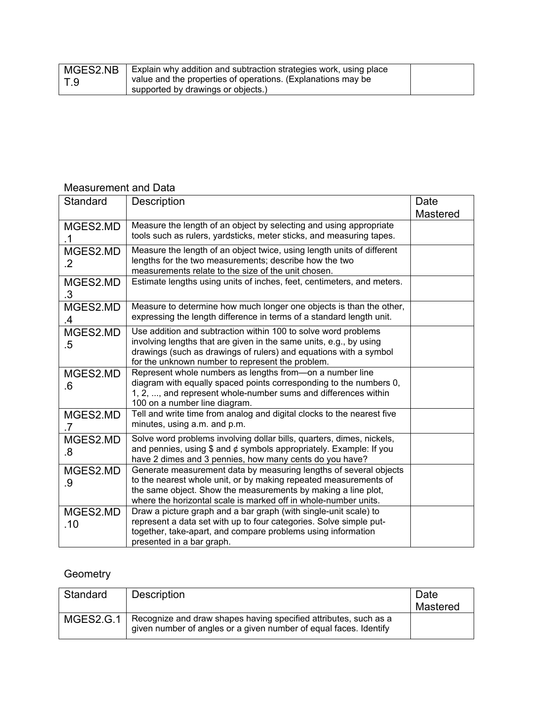| MGES2.NB | Explain why addition and subtraction strategies work, using place |  |
|----------|-------------------------------------------------------------------|--|
| $\top.9$ | value and the properties of operations. (Explanations may be      |  |
|          | supported by drawings or objects.)                                |  |

### Measurement and Data

| Standard            | Description                                                                                                                                                                                                                                                               | Date<br><b>Mastered</b> |
|---------------------|---------------------------------------------------------------------------------------------------------------------------------------------------------------------------------------------------------------------------------------------------------------------------|-------------------------|
| MGES2.MD            | Measure the length of an object by selecting and using appropriate<br>tools such as rulers, yardsticks, meter sticks, and measuring tapes.                                                                                                                                |                         |
| MGES2.MD<br>$\cdot$ | Measure the length of an object twice, using length units of different<br>lengths for the two measurements; describe how the two<br>measurements relate to the size of the unit chosen.                                                                                   |                         |
| MGES2.MD<br>.3      | Estimate lengths using units of inches, feet, centimeters, and meters.                                                                                                                                                                                                    |                         |
| MGES2.MD<br>.4      | Measure to determine how much longer one objects is than the other,<br>expressing the length difference in terms of a standard length unit.                                                                                                                               |                         |
| MGES2.MD<br>$.5\,$  | Use addition and subtraction within 100 to solve word problems<br>involving lengths that are given in the same units, e.g., by using<br>drawings (such as drawings of rulers) and equations with a symbol<br>for the unknown number to represent the problem.             |                         |
| MGES2.MD<br>.6      | Represent whole numbers as lengths from-on a number line<br>diagram with equally spaced points corresponding to the numbers 0,<br>1, 2, , and represent whole-number sums and differences within<br>100 on a number line diagram.                                         |                         |
| MGES2.MD<br>.7      | Tell and write time from analog and digital clocks to the nearest five<br>minutes, using a.m. and p.m.                                                                                                                                                                    |                         |
| MGES2.MD<br>.8      | Solve word problems involving dollar bills, quarters, dimes, nickels,<br>and pennies, using \$ and $\phi$ symbols appropriately. Example: If you<br>have 2 dimes and 3 pennies, how many cents do you have?                                                               |                         |
| MGES2.MD<br>.9      | Generate measurement data by measuring lengths of several objects<br>to the nearest whole unit, or by making repeated measurements of<br>the same object. Show the measurements by making a line plot,<br>where the horizontal scale is marked off in whole-number units. |                         |
| MGES2.MD<br>.10     | Draw a picture graph and a bar graph (with single-unit scale) to<br>represent a data set with up to four categories. Solve simple put-<br>together, take-apart, and compare problems using information<br>presented in a bar graph.                                       |                         |

# **Geometry**

| Standard  | Description                                                                                                                           | Date<br>Mastered |
|-----------|---------------------------------------------------------------------------------------------------------------------------------------|------------------|
| MGES2.G.1 | Recognize and draw shapes having specified attributes, such as a<br>given number of angles or a given number of equal faces. Identify |                  |